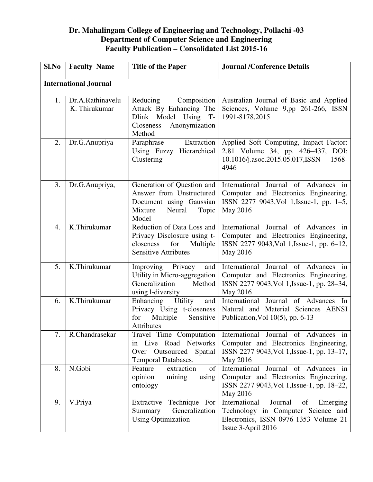## **Dr. Mahalingam College of Engineering and Technology, Pollachi -03 Department of Computer Science and Engineering Faculty Publication – Consolidated List 2015-16**

| Sl.No                        | <b>Faculty Name</b>               | <b>Title of the Paper</b>                                                                                                | <b>Journal /Conference Details</b>                                                                                                              |  |  |  |
|------------------------------|-----------------------------------|--------------------------------------------------------------------------------------------------------------------------|-------------------------------------------------------------------------------------------------------------------------------------------------|--|--|--|
| <b>International Journal</b> |                                   |                                                                                                                          |                                                                                                                                                 |  |  |  |
| 1.                           | Dr.A.Rathinavelu<br>K. Thirukumar | Reducing<br>Composition<br>Attack By Enhancing The<br>Dlink Model Using T-<br>Anonymization<br>Closeness<br>Method       | Australian Journal of Basic and Applied<br>Sciences, Volume 9,pp 261-266, ISSN<br>1991-8178,2015                                                |  |  |  |
| 2.                           | Dr.G.Anupriya                     | Extraction<br>Paraphrase<br>Using Fuzzy Hierarchical<br>Clustering                                                       | Applied Soft Computing, Impact Factor:<br>2.81 Volume 34, pp. 426–437, DOI:<br>10.1016/j.asoc.2015.05.017, ISSN<br>1568-<br>4946                |  |  |  |
| 3.                           | Dr.G.Anupriya,                    | Generation of Question and<br>Answer from Unstructured<br>Document using Gaussian<br>Mixture<br>Neural<br>Topic<br>Model | Journal of Advances in<br>International<br>Computer and Electronics Engineering,<br>ISSN 2277 9043, Vol 1, Issue-1, pp. 1–5,<br>May 2016        |  |  |  |
| 4.                           | K.Thirukumar                      | Reduction of Data Loss and<br>Privacy Disclosure using t-<br>closeness<br>for<br>Multiple<br><b>Sensitive Attributes</b> | Journal of Advances in<br>International<br>Computer and Electronics Engineering,<br>ISSN 2277 9043, Vol 1, Issue-1, pp. 6-12,<br>May 2016       |  |  |  |
| 5.                           | K.Thirukumar                      | Improving Privacy<br>and<br>Utility in Micro-aggregation<br>Generalization<br>Method<br>using l-diversity                | International Journal of Advances in<br>Computer and Electronics Engineering,<br>ISSN 2277 9043, Vol 1, Issue-1, pp. 28–34,<br>May 2016         |  |  |  |
| 6.                           | K.Thirukumar                      | Utility<br>Enhancing<br>and<br>Privacy Using t-closeness<br>Multiple<br>Sensitive<br>for<br>Attributes                   | International Journal of Advances<br>In<br>Natural and Material Sciences AENSI<br>Publication, Vol $10(5)$ , pp. 6-13                           |  |  |  |
| 7.                           | R.Chandrasekar                    | Travel Time Computation<br>in Live Road Networks<br>Over Outsourced Spatial<br>Temporal Databases.                       | International Journal of Advances in<br>Computer and Electronics Engineering,<br>ISSN 2277 9043, Vol 1, Issue-1, pp. 13-17,<br>May 2016         |  |  |  |
| 8.                           | N.Gobi                            | Feature<br>extraction<br>of<br>opinion<br>mining<br>using<br>ontology                                                    | International<br>Journal of Advances in<br>Computer and Electronics Engineering,<br>ISSN 2277 9043, Vol 1, Issue-1, pp. 18–22,<br>May 2016      |  |  |  |
| 9.                           | V.Priya                           | Technique For<br>Extractive<br>Generalization<br>Summary<br><b>Using Optimization</b>                                    | International<br>Journal<br>of<br>Emerging<br>Technology in Computer Science and<br>Electronics, ISSN 0976-1353 Volume 21<br>Issue 3-April 2016 |  |  |  |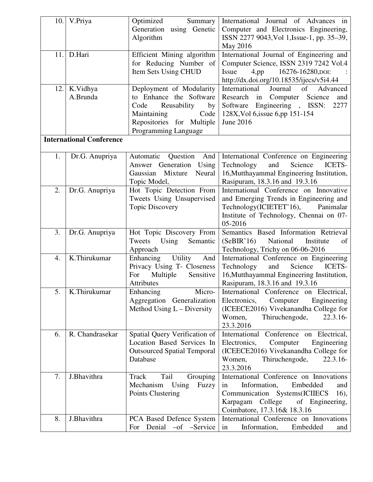| 10. | V.Priya                         | Optimized<br>Summary               | International Journal of Advances in                                              |
|-----|---------------------------------|------------------------------------|-----------------------------------------------------------------------------------|
|     |                                 | Generation using Genetic           | Computer and Electronics Engineering,                                             |
|     |                                 | Algorithm                          | ISSN 2277 9043, Vol 1, Issue-1, pp. 35–39,                                        |
|     |                                 |                                    | May 2016                                                                          |
| 11. | D.Hari                          | Efficient Mining algorithm         | International Journal of Engineering and                                          |
|     |                                 |                                    |                                                                                   |
|     |                                 | for Reducing Number of             | Computer Science, ISSN 2319 7242 Vol.4                                            |
|     |                                 | Item Sets Using CHUD               | Issue<br>$4,$ pp<br>16276-16280, DOI:                                             |
|     |                                 |                                    | http://dx.doi.org/10.18535/ijecs/v5i4.44                                          |
| 12. | K.Vidhya                        | Deployment of Modularity           | International<br>Journal<br>of<br>Advanced                                        |
|     | A.Brunda                        | to Enhance the Software            | Research in Computer Science<br>and                                               |
|     |                                 | Reusability<br>Code<br>by          | Software Engineering, ISSN:<br>2277                                               |
|     |                                 | Maintaining<br>Code                | 128X, Vol 6, issue 6, pp 151-154                                                  |
|     |                                 | Repositories for Multiple          | June 2016                                                                         |
|     |                                 | Programming Language               |                                                                                   |
|     | <b>International Conference</b> |                                    |                                                                                   |
| 1.  |                                 | Automatic<br>Question<br>And       |                                                                                   |
|     | Dr.G. Anupriya                  | Answer Generation Using            | International Conference on Engineering<br>Technology<br>Science<br>ICETS-<br>and |
|     |                                 | Mixture<br>Neural<br>Gaussian      | 16, Mutthayammal Engineering Institution,                                         |
|     |                                 |                                    |                                                                                   |
|     |                                 | Topic Model,                       | Rasipuram, 18.3.16 and 19.3.16                                                    |
| 2.  | Dr.G. Anupriya                  | Hot Topic Detection From           | International Conference on Innovative                                            |
|     |                                 | Tweets Using Unsupervised          | and Emerging Trends in Engineering and                                            |
|     |                                 | <b>Topic Discovery</b>             | Technology(ICIETET'16),<br>Panimalar                                              |
|     |                                 |                                    | Institute of Technology, Chennai on 07-                                           |
|     |                                 |                                    | 05-2016                                                                           |
| 3.  | Dr.G. Anupriya                  | Hot Topic Discovery From           | Semantics Based Information Retrieval                                             |
|     |                                 | Tweets<br>Using<br>Semantic        | (SeBIR'16)<br>National<br>Institute<br>of                                         |
|     |                                 | Approach                           | Technology, Trichy on 06-06-2016                                                  |
| 4.  | K.Thirukumar                    | Enhancing<br>Utility<br>And        | International Conference on Engineering                                           |
|     |                                 | Privacy Using T- Closeness         | Science<br>ICETS-<br>Technology<br>and                                            |
|     |                                 | Multiple<br>Sensitive<br>For       | 16, Mutthayammal Engineering Institution,                                         |
|     |                                 | Attributes                         | Rasipuram, 18.3.16 and 19.3.16                                                    |
| 5.  | K.Thirukumar                    | Micro-<br>Enhancing                | International Conference on Electrical,                                           |
|     |                                 | Aggregation Generalization         | Electronics,<br>Engineering<br>Computer                                           |
|     |                                 | Method Using L - Diversity         | (ICEECE2016) Vivekanandha College for                                             |
|     |                                 |                                    | Thiruchengode,<br>Women,<br>$22.3.16-$                                            |
|     |                                 |                                    | 23.3.2016                                                                         |
| 6.  | R. Chandrasekar                 | Spatial Query Verification of      | International Conference on Electrical,                                           |
|     |                                 | Location Based Services In         | Electronics,<br>Computer<br>Engineering                                           |
|     |                                 | <b>Outsourced Spatial Temporal</b> | (ICEECE2016) Vivekanandha College for                                             |
|     |                                 | Database                           | Women,<br>Thiruchengode,<br>$22.3.16-$                                            |
|     |                                 |                                    | 23.3.2016                                                                         |
| 7.  | J.Bhavithra                     | Tail<br>Grouping<br>Track          | International Conference on Innovations                                           |
|     |                                 | Mechanism<br>Using<br>Fuzzy        | Information,<br>Embedded<br>in<br>and                                             |
|     |                                 | Points Clustering                  | Communication Systems(ICIIECS<br>16),                                             |
|     |                                 |                                    | Karpagam College<br>of Engineering,                                               |
|     |                                 |                                    | Coimbatore, 17.3.16& 18.3.16                                                      |
| 8.  | J.Bhavithra                     | PCA Based Defence System           | International Conference on Innovations                                           |
|     |                                 |                                    |                                                                                   |
|     |                                 | For Denial -of -Service            | in<br>Information,<br>Embedded<br>and                                             |